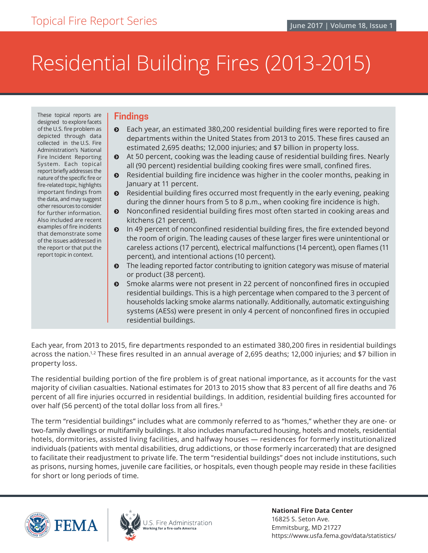# Residential Building Fires (2013-2015)

These topical reports are designed to explore facets of the U.S. fire problem as depicted through data collected in the U.S. Fire Administration's National Fire Incident Reporting System. Each topical report briefly addresses the nature of the specific fire or fire-related topic, highlights important findings from the data, and may suggest other resources to consider for further information. Also included are recent examples of fire incidents that demonstrate some of the issues addressed in the report or that put the report topic in context.

## **Findings**

- ĵ Each year, an estimated 380,200 residential building fires were reported to fire departments within the United States from 2013 to 2015. These fires caused an estimated 2,695 deaths; 12,000 injuries; and \$7 billion in property loss.
- ĵ At 50 percent, cooking was the leading cause of residential building fires. Nearly all (90 percent) residential building cooking fires were small, confined fires.
- **•** Residential building fire incidence was higher in the cooler months, peaking in January at 11 percent.
- ĵ Residential building fires occurred most frequently in the early evening, peaking during the dinner hours from 5 to 8 p.m., when cooking fire incidence is high.
- **•** Nonconfined residential building fires most often started in cooking areas and kitchens (21 percent).
- **•** In 49 percent of nonconfined residential building fires, the fire extended beyond the room of origin. The leading causes of these larger fires were unintentional or careless actions (17 percent), electrical malfunctions (14 percent), open flames (11 percent), and intentional actions (10 percent).
- $\odot$  The leading reported factor contributing to ignition category was misuse of material or product (38 percent).
- **•** Smoke alarms were not present in 22 percent of nonconfined fires in occupied residential buildings. This is a high percentage when compared to the 3 percent of households lacking smoke alarms nationally. Additionally, automatic extinguishing systems (AESs) were present in only 4 percent of nonconfined fires in occupied residential buildings.

Each year, from 2013 to 2015, fire departments responded to an estimated 380,200 fires in residential buildings across the nation.<sup>1,2</sup> These fires resulted in an annual average of 2,695 deaths; 12,000 injuries; and \$7 billion in property loss.

The residential building portion of the fire problem is of great national importance, as it accounts for the vast majority of civilian casualties. National estimates for 2013 to 2015 show that 83 percent of all fire deaths and 76 percent of all fire injuries occurred in residential buildings. In addition, residential building fires accounted for over half (56 percent) of the total dollar loss from all fires.<sup>3</sup>

The term "residential buildings" includes what are commonly referred to as "homes," whether they are one- or two-family dwellings or multifamily buildings. It also includes manufactured housing, hotels and motels, residential hotels, dormitories, assisted living facilities, and halfway houses — residences for formerly institutionalized individuals (patients with mental disabilities, drug addictions, or those formerly incarcerated) that are designed to facilitate their readjustment to private life. The term "residential buildings" does not include institutions, such as prisons, nursing homes, juvenile care facilities, or hospitals, even though people may reside in these facilities for short or long periods of time.





J.S. Fire Administration rking for a fire-safe America

**National Fire Data Center** 16825 S. Seton Ave. Emmitsburg, MD 21727 https://www.usfa.fema.gov/data/statistics/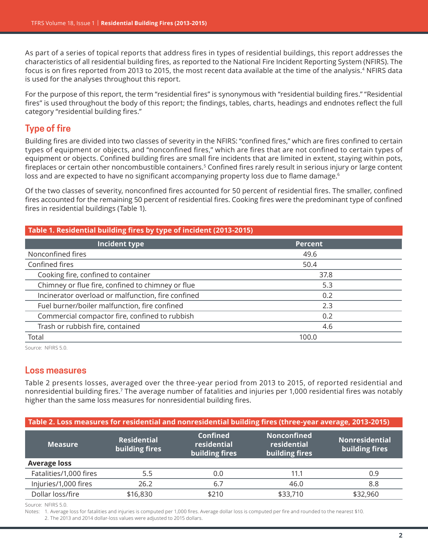As part of a series of topical reports that address fires in types of residential buildings, this report addresses the characteristics of all residential building fires, as reported to the National Fire Incident Reporting System (NFIRS). The focus is on fires reported from 2013 to 2015, the most recent data available at the time of the analysis.<sup>4</sup> NFIRS data is used for the analyses throughout this report.

For the purpose of this report, the term "residential fires" is synonymous with "residential building fires." "Residential fires" is used throughout the body of this report; the findings, tables, charts, headings and endnotes reflect the full category "residential building fires."

# **Type of fire**

Building fires are divided into two classes of severity in the NFIRS: "confined fires," which are fires confined to certain types of equipment or objects, and "nonconfined fires," which are fires that are not confined to certain types of equipment or objects. Confined building fires are small fire incidents that are limited in extent, staying within pots, fireplaces or certain other noncombustible containers.5 Confined fires rarely result in serious injury or large content loss and are expected to have no significant accompanying property loss due to flame damage.<sup>6</sup>

Of the two classes of severity, nonconfined fires accounted for 50 percent of residential fires. The smaller, confined fires accounted for the remaining 50 percent of residential fires. Cooking fires were the predominant type of confined fires in residential buildings ([Table 1](#page-1-0)).

<span id="page-1-0"></span>

| Table 1. Residential building fires by type of incident (2013-2015) |                |  |
|---------------------------------------------------------------------|----------------|--|
| Incident type                                                       | <b>Percent</b> |  |
| Nonconfined fires                                                   | 49.6           |  |
| Confined fires                                                      | 50.4           |  |
| Cooking fire, confined to container                                 | 37.8           |  |
| Chimney or flue fire, confined to chimney or flue                   | 5.3            |  |
| Incinerator overload or malfunction, fire confined                  | 0.2            |  |
| Fuel burner/boiler malfunction, fire confined                       | 2.3            |  |
| Commercial compactor fire, confined to rubbish                      | 0.2            |  |
| Trash or rubbish fire, contained                                    | 4.6            |  |
| Total                                                               | 100.0          |  |

Source: NFIRS 5.0.

## **Loss measures**

[Table 2](#page-1-1) presents losses, averaged over the three-year period from 2013 to 2015, of reported residential and nonresidential building fires.7 The average number of fatalities and injuries per 1,000 residential fires was notably higher than the same loss measures for nonresidential building fires.

<span id="page-1-1"></span>

| Table 2. Loss measures for residential and nonresidential building fires (three-year average, 2013-2015) |                                      |                                                  |                                                     |                                         |
|----------------------------------------------------------------------------------------------------------|--------------------------------------|--------------------------------------------------|-----------------------------------------------------|-----------------------------------------|
| <b>Measure</b>                                                                                           | <b>Residential</b><br>building fires | <b>Confined</b><br>residential<br>building fires | <b>Nonconfined</b><br>residential<br>building fires | <b>Nonresidential</b><br>building fires |
| <b>Average loss</b>                                                                                      |                                      |                                                  |                                                     |                                         |
| Fatalities/1,000 fires                                                                                   | 5.5                                  | 0.0                                              | 11.1                                                | 0.9                                     |
| Injuries/1,000 fires                                                                                     | 26.2                                 | 6.7                                              | 46.0                                                | 8.8                                     |
| Dollar loss/fire                                                                                         | \$16,830                             | \$210                                            | \$33,710                                            | \$32,960                                |

Source: NFIRS 5.0.

Notes: 1. Average loss for fatalities and injuries is computed per 1,000 fires. Average dollar loss is computed per fire and rounded to the nearest \$10. 2. The 2013 and 2014 dollar-loss values were adjusted to 2015 dollars.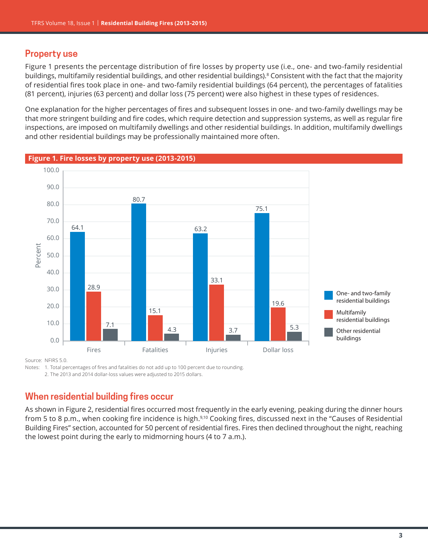## **Property use**

Figure 1 presents the percentage distribution of fire losses by property use (i.e., one- and two-family residential buildings, multifamily residential buildings, and other residential buildings).<sup>8</sup> Consistent with the fact that the majority of residential fires took place in one- and two-family residential buildings (64 percent), the percentages of fatalities (81 percent), injuries (63 percent) and dollar loss (75 percent) were also highest in these types of residences.

One explanation for the higher percentages of fires and subsequent losses in one- and two-family dwellings may be that more stringent building and fire codes, which require detection and suppression systems, as well as regular fire inspections, are imposed on multifamily dwellings and other residential buildings. In addition, multifamily dwellings and other residential buildings may be professionally maintained more often.



**Figure 1. Fire losses by property use (2013-2015)**

Source: NFIRS 5.0.

Notes: 1. Total percentages of fires and fatalities do not add up to 100 percent due to rounding.

2. The 2013 and 2014 dollar-loss values were adjusted to 2015 dollars.

# **When residential building fires occur**

As shown in Figure 2, residential fires occurred most frequently in the early evening, peaking during the dinner hours from 5 to 8 p.m., when cooking fire incidence is high.9,10 Cooking fires, discussed next in the "Causes of Residential Building Fires" section, accounted for 50 percent of residential fires. Fires then declined throughout the night, reaching the lowest point during the early to midmorning hours (4 to 7 a.m.).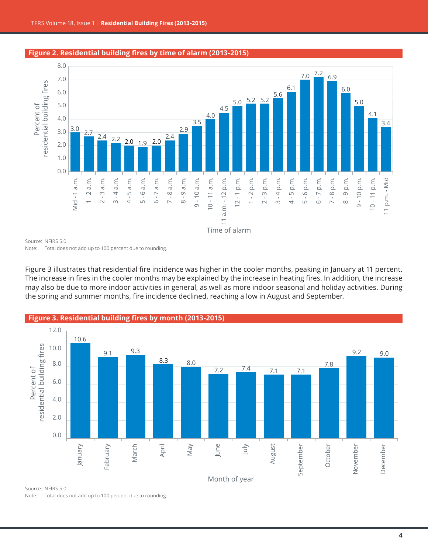

#### **Figure 2. Residential building fires by time of alarm (2013-2015)**

Source: NFIRS 5.0. Note: Total does not add up to 100 percent due to rounding.

Figure 3 illustrates that residential fire incidence was higher in the cooler months, peaking in January at 11 percent. The increase in fires in the cooler months may be explained by the increase in heating fires. In addition, the increase may also be due to more indoor activities in general, as well as more indoor seasonal and holiday activities. During the spring and summer months, fire incidence declined, reaching a low in August and September.



Source: NFIRS 5.0. Note: Total does not add up to 100 percent due to rounding.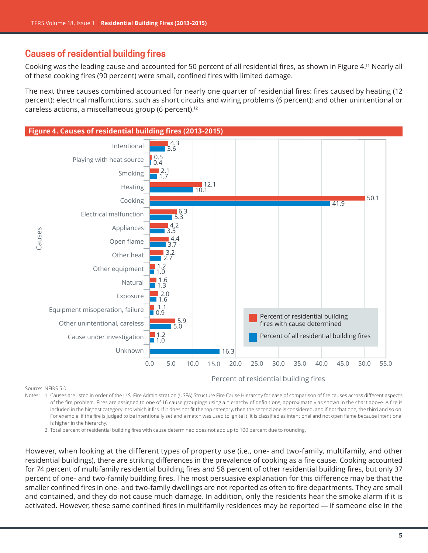# **Causes of residential building fires**

Cooking was the leading cause and accounted for 50 percent of all residential fires, as shown in Figure 4.11 Nearly all of these cooking fires (90 percent) were small, confined fires with limited damage.

The next three causes combined accounted for nearly one quarter of residential fires: fires caused by heating (12 percent); electrical malfunctions, such as short circuits and wiring problems (6 percent); and other unintentional or careless actions, a miscellaneous group (6 percent).12



Source: NFIRS 5.0.

Notes: 1. Causes are listed in order of the U.S. Fire Administration (USFA) Structure Fire Cause Hierarchy for ease of comparison of fire causes across different aspects of the fire problem. Fires are assigned to one of 16 cause groupings using a hierarchy of definitions, approximately as shown in the chart above. A fire is included in the highest category into which it fits. If it does not fit the top category, then the second one is considered, and if not that one, the third and so on. For example, if the fire is judged to be intentionally set and a match was used to ignite it, it is classified as intentional and not open flame because intentional is higher in the hierarchy.

2. Total percent of residential building fires with cause determined does not add up to 100 percent due to rounding.

However, when looking at the different types of property use (i.e., one- and two-family, multifamily, and other residential buildings), there are striking differences in the prevalence of cooking as a fire cause. Cooking accounted for 74 percent of multifamily residential building fires and 58 percent of other residential building fires, but only 37 percent of one- and two-family building fires. The most persuasive explanation for this difference may be that the smaller confined fires in one- and two-family dwellings are not reported as often to fire departments. They are small and contained, and they do not cause much damage. In addition, only the residents hear the smoke alarm if it is activated. However, these same confined fires in multifamily residences may be reported — if someone else in the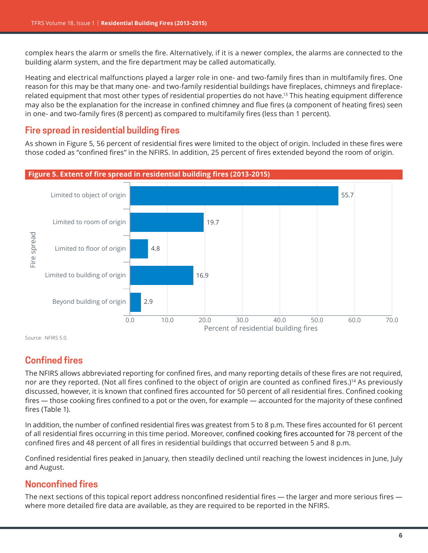complex hears the alarm or smells the fire. Alternatively, if it is a newer complex, the alarms are connected to the building alarm system, and the fire department may be called automatically.

Heating and electrical malfunctions played a larger role in one- and two-family fires than in multifamily fires. One reason for this may be that many one- and two-family residential buildings have fireplaces, chimneys and fireplacerelated equipment that most other types of residential properties do not have.<sup>13</sup> This heating equipment difference may also be the explanation for the increase in confined chimney and flue fires (a component of heating fires) seen in one- and two-family fires (8 percent) as compared to multifamily fires (less than 1 percent).

# **Fire spread in residential building fires**

As shown in Figure 5, 56 percent of residential fires were limited to the object of origin. Included in these fires were those coded as "confined fires" in the NFIRS. In addition, 25 percent of fires extended beyond the room of origin.



Source: NFIRS 5.0.

# **Confined fires**

The NFIRS allows abbreviated reporting for confined fires, and many reporting details of these fires are not required, nor are they reported. (Not all fires confined to the object of origin are counted as confined fires.)<sup>14</sup> As previously discussed, however, it is known that confined fires accounted for 50 percent of all residential fires. Confined cooking fires — those cooking fires confined to a pot or the oven, for example — accounted for the majority of these confined fires ([Table 1](#page-1-0)).

In addition, the number of confined residential fires was greatest from 5 to 8 p.m. These fires accounted for 61 percent of all residential fires occurring in this time period. Moreover, confined cooking fires accounted for 78 percent of the confined fires and 48 percent of all fires in residential buildings that occurred between 5 and 8 p.m.

Confined residential fires peaked in January, then steadily declined until reaching the lowest incidences in June, July and August.

# **Nonconfined fires**

The next sections of this topical report address nonconfined residential fires — the larger and more serious fires where more detailed fire data are available, as they are required to be reported in the NFIRS.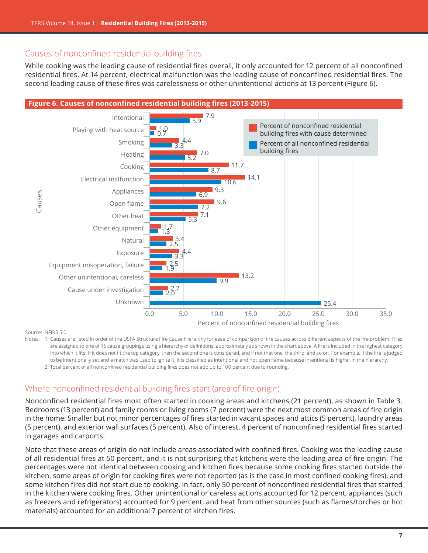# Causes of nonconfined residential building fires

While cooking was the leading cause of residential fires overall, it only accounted for 12 percent of all nonconfined residential fires. At 14 percent, electrical malfunction was the leading cause of nonconfined residential fires. The second leading cause of these fires was carelessness or other unintentional actions at 13 percent (Figure 6).



#### Source: NFIRS 5.0.

Notes: 1. Causes are listed in order of the USFA Structure Fire Cause Hierarchy for ease of comparison of fire causes across different aspects of the fire problem. Fires are assigned to one of 16 cause groupings using a hierarchy of definitions, approximately as shown in the chart above. A fire is included in the highest category into which it fits. If it does not fit the top category, then the second one is considered, and if not that one, the third, and so on. For example, if the fire is judged to be intentionally set and a match was used to ignite it, it is classified as intentional and not open flame because intentional is higher in the hierarchy.

2. Total percent of all nonconfined residential building fires does not add up to 100 percent due to rounding.

# Where nonconfined residential building fires start (area of fire origin)

Nonconfined residential fires most often started in cooking areas and kitchens (21 percent), as shown in Table 3. Bedrooms (13 percent) and family rooms or living rooms (7 percent) were the next most common areas of fire origin in the home. Smaller but not minor percentages of fires started in vacant spaces and attics (5 percent), laundry areas (5 percent), and exterior wall surfaces (5 percent). Also of interest, 4 percent of nonconfined residential fires started in garages and carports.

Note that these areas of origin do not include areas associated with confined fires. Cooking was the leading cause of all residential fires at 50 percent, and it is not surprising that kitchens were the leading area of fire origin. The percentages were not identical between cooking and kitchen fires because some cooking fires started outside the kitchen, some areas of origin for cooking fires were not reported (as is the case in most confined cooking fires), and some kitchen fires did not start due to cooking. In fact, only 50 percent of nonconfined residential fires that started in the kitchen were cooking fires. Other unintentional or careless actions accounted for 12 percent, appliances (such as freezers and refrigerators) accounted for 9 percent, and heat from other sources (such as flames/torches or hot materials) accounted for an additional 7 percent of kitchen fires.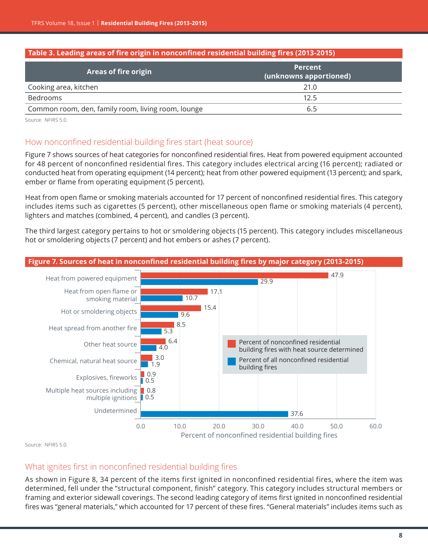#### **Table 3. Leading areas of fire origin in nonconfined residential building fires (2013-2015)**

| <b>Areas of fire origin</b>                        | <b>Percent</b><br>(unknowns apportioned) |
|----------------------------------------------------|------------------------------------------|
| Cooking area, kitchen                              | 21.0                                     |
| Bedrooms                                           | 12.5                                     |
| Common room, den, family room, living room, lounge | 6.5                                      |

Source: NFIRS 5.0.

## How nonconfined residential building fires start (heat source)

Figure 7 shows sources of heat categories for nonconfined residential fires. Heat from powered equipment accounted for 48 percent of nonconfined residential fires. This category includes electrical arcing (16 percent); radiated or conducted heat from operating equipment (14 percent); heat from other powered equipment (13 percent); and spark, ember or flame from operating equipment (5 percent).

Heat from open flame or smoking materials accounted for 17 percent of nonconfined residential fires. This category includes items such as cigarettes (5 percent), other miscellaneous open flame or smoking materials (4 percent), lighters and matches (combined, 4 percent), and candles (3 percent).

The third largest category pertains to hot or smoldering objects (15 percent). This category includes miscellaneous hot or smoldering objects (7 percent) and hot embers or ashes (7 percent).



Source: NFIRS 5.0.

## What ignites first in nonconfined residential building fires

As shown in Figure 8, 34 percent of the items first ignited in nonconfined residential fires, where the item was determined, fell under the "structural component, finish" category. This category includes structural members or framing and exterior sidewall coverings. The second leading category of items first ignited in nonconfined residential fires was "general materials," which accounted for 17 percent of these fires. "General materials" includes items such as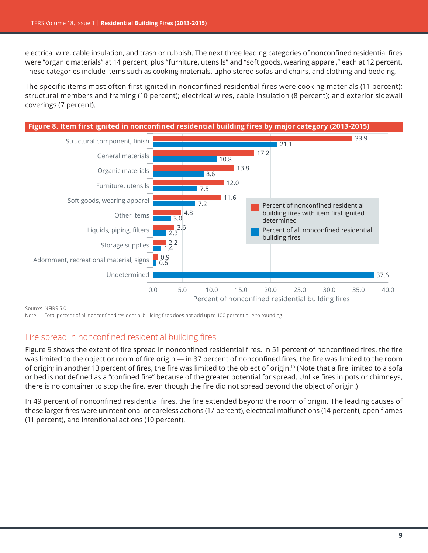electrical wire, cable insulation, and trash or rubbish. The next three leading categories of nonconfined residential fires were "organic materials" at 14 percent, plus "furniture, utensils" and "soft goods, wearing apparel," each at 12 percent. These categories include items such as cooking materials, upholstered sofas and chairs, and clothing and bedding.

The specific items most often first ignited in nonconfined residential fires were cooking materials (11 percent); structural members and framing (10 percent); electrical wires, cable insulation (8 percent); and exterior sidewall coverings (7 percent).



Source: NFIRS 5.0.

Note: Total percent of all nonconfined residential building fires does not add up to 100 percent due to rounding.

# Fire spread in nonconfined residential building fires

Figure 9 shows the extent of fire spread in nonconfined residential fires. In 51 percent of nonconfined fires, the fire was limited to the object or room of fire origin — in 37 percent of nonconfined fires, the fire was limited to the room of origin; in another 13 percent of fires, the fire was limited to the object of origin.15 (Note that a fire limited to a sofa or bed is not defined as a "confined fire" because of the greater potential for spread. Unlike fires in pots or chimneys, there is no container to stop the fire, even though the fire did not spread beyond the object of origin.)

In 49 percent of nonconfined residential fires, the fire extended beyond the room of origin. The leading causes of these larger fires were unintentional or careless actions (17 percent), electrical malfunctions (14 percent), open flames (11 percent), and intentional actions (10 percent).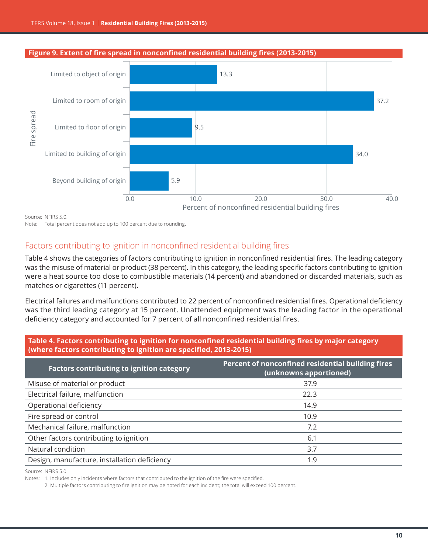#### **Figure 9. Extent of fire spread in nonconfined residential building fires (2013-2015)**



Source: NFIRS 5.0.

Note: Total percent does not add up to 100 percent due to rounding.

## Factors contributing to ignition in nonconfined residential building fires

[Table](#page-9-0) 4 shows the categories of factors contributing to ignition in nonconfined residential fires. The leading category was the misuse of material or product (38 percent). In this category, the leading specific factors contributing to ignition were a heat source too close to combustible materials (14 percent) and abandoned or discarded materials, such as matches or cigarettes (11 percent).

Electrical failures and malfunctions contributed to 22 percent of nonconfined residential fires. Operational deficiency was the third leading category at 15 percent. Unattended equipment was the leading factor in the operational deficiency category and accounted for 7 percent of all nonconfined residential fires.

<span id="page-9-0"></span>

| Table 4. Factors contributing to ignition for nonconfined residential building fires by major category |
|--------------------------------------------------------------------------------------------------------|
| (where factors contributing to ignition are specified, 2013-2015)                                      |

| <b>Factors contributing to ignition category</b> | Percent of nonconfined residential building fires<br>(unknowns apportioned) |
|--------------------------------------------------|-----------------------------------------------------------------------------|
| Misuse of material or product                    | 37.9                                                                        |
| Electrical failure, malfunction                  | 22.3                                                                        |
| Operational deficiency                           | 14.9                                                                        |
| Fire spread or control                           | 10.9                                                                        |
| Mechanical failure, malfunction                  | 7.2                                                                         |
| Other factors contributing to ignition           | 6.1                                                                         |
| Natural condition                                | 3.7                                                                         |
| Design, manufacture, installation deficiency     | 1.9                                                                         |

Source: NFIRS 5.0.

Notes: 1. Includes only incidents where factors that contributed to the ignition of the fire were specified.

2. Multiple factors contributing to fire ignition may be noted for each incident; the total will exceed 100 percent.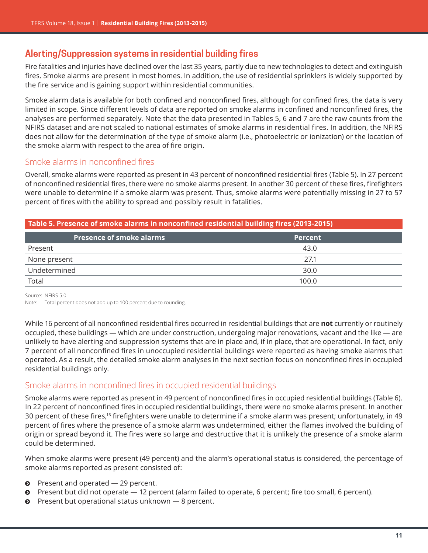# **Alerting/Suppression systems in residential building fires**

Fire fatalities and injuries have declined over the last 35 years, partly due to new technologies to detect and extinguish fires. Smoke alarms are present in most homes. In addition, the use of residential sprinklers is widely supported by the fire service and is gaining support within residential communities.

Smoke alarm data is available for both confined and nonconfined fires, although for confined fires, the data is very limited in scope. Since different levels of data are reported on smoke alarms in confined and nonconfined fires, the analyses are performed separately. Note that the data presented in Tables 5, 6 and 7 are the raw counts from the NFIRS dataset and are not scaled to national estimates of smoke alarms in residential fires. In addition, the NFIRS does not allow for the determination of the type of smoke alarm (i.e., photoelectric or ionization) or the location of the smoke alarm with respect to the area of fire origin.

## Smoke alarms in nonconfined fires

Overall, smoke alarms were reported as present in 43 percent of nonconfined residential fires (Table 5). In 27 percent of nonconfined residential fires, there were no smoke alarms present. In another 30 percent of these fires, firefighters were unable to determine if a smoke alarm was present. Thus, smoke alarms were potentially missing in 27 to 57 percent of fires with the ability to spread and possibly result in fatalities.

## **Table 5. Presence of smoke alarms in nonconfined residential building fires (2013-2015)**

| <b>Presence of smoke alarms</b> | <b>Percent</b> |
|---------------------------------|----------------|
| Present                         | 43.0           |
| None present                    | 27.1           |
| Undetermined                    | 30.0           |
| Total                           | 100.0          |

Source: NFIRS 5.0.

Note: Total percent does not add up to 100 percent due to rounding.

While 16 percent of all nonconfined residential fires occurred in residential buildings that are **not** currently or routinely occupied, these buildings — which are under construction, undergoing major renovations, vacant and the like — are unlikely to have alerting and suppression systems that are in place and, if in place, that are operational. In fact, only 7 percent of all nonconfined fires in unoccupied residential buildings were reported as having smoke alarms that operated. As a result, the detailed smoke alarm analyses in the next section focus on nonconfined fires in occupied residential buildings only.

## Smoke alarms in nonconfined fires in occupied residential buildings

Smoke alarms were reported as present in 49 percent of nonconfined fires in occupied residential buildings (Table 6). In 22 percent of nonconfined fires in occupied residential buildings, there were no smoke alarms present. In another 30 percent of these fires,16 firefighters were unable to determine if a smoke alarm was present; unfortunately, in 49 percent of fires where the presence of a smoke alarm was undetermined, either the flames involved the building of origin or spread beyond it. The fires were so large and destructive that it is unlikely the presence of a smoke alarm could be determined.

When smoke alarms were present (49 percent) and the alarm's operational status is considered, the percentage of smoke alarms reported as present consisted of:

- $\bullet$  Present and operated  $-$  29 percent.
- $\odot$  Present but did not operate 12 percent (alarm failed to operate, 6 percent; fire too small, 6 percent).
- $\odot$  Present but operational status unknown  $-8$  percent.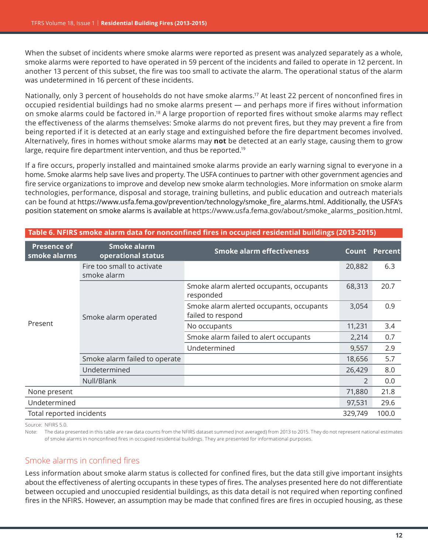When the subset of incidents where smoke alarms were reported as present was analyzed separately as a whole, smoke alarms were reported to have operated in 59 percent of the incidents and failed to operate in 12 percent. In another 13 percent of this subset, the fire was too small to activate the alarm. The operational status of the alarm was undetermined in 16 percent of these incidents.

Nationally, only 3 percent of households do not have smoke alarms.<sup>17</sup> At least 22 percent of nonconfined fires in occupied residential buildings had no smoke alarms present — and perhaps more if fires without information on smoke alarms could be factored in.18 A large proportion of reported fires without smoke alarms may reflect the effectiveness of the alarms themselves: Smoke alarms do not prevent fires, but they may prevent a fire from being reported if it is detected at an early stage and extinguished before the fire department becomes involved. Alternatively, fires in homes without smoke alarms may **not** be detected at an early stage, causing them to grow large, require fire department intervention, and thus be reported.<sup>19</sup>

If a fire occurs, properly installed and maintained smoke alarms provide an early warning signal to everyone in a home. Smoke alarms help save lives and property. The USFA continues to partner with other government agencies and fire service organizations to improve and develop new smoke alarm technologies. More information on smoke alarm technologies, performance, disposal and storage, training bulletins, and public education and outreach materials can be found at [https://www.usfa.fema.gov/prevention/technology/smoke\\_fire\\_alarms.html](https://www.usfa.fema.gov/prevention/technology/smoke_fire_alarms.html). Additionally, the USFA's position statement on smoke alarms is available at [https://www.usfa.fema.gov/about/smoke\\_alarms\\_position.html](https://www.usfa.fema.gov/about/smoke_alarms_position.html).

| <b>Presence of</b><br>smoke alarms | <b>Smoke alarm</b><br>operational status              | <b>Smoke alarm effectiveness</b>                              | Count         | <b>Percent</b> |
|------------------------------------|-------------------------------------------------------|---------------------------------------------------------------|---------------|----------------|
| Present                            | Fire too small to activate<br>smoke alarm             |                                                               | 20,882        | 6.3            |
|                                    | Smoke alarm operated<br>Smoke alarm failed to operate | Smoke alarm alerted occupants, occupants<br>responded         | 68,313        | 20.7           |
|                                    |                                                       | Smoke alarm alerted occupants, occupants<br>failed to respond | 3,054         | 0.9            |
|                                    |                                                       | No occupants                                                  | 11,231        | 3.4            |
|                                    |                                                       | Smoke alarm failed to alert occupants                         | 2,214         | 0.7            |
|                                    |                                                       | Undetermined                                                  | 9,557         | 2.9            |
|                                    |                                                       |                                                               | 18,656        | 5.7            |
|                                    | Undetermined                                          |                                                               | 26,429        | 8.0            |
|                                    | Null/Blank                                            |                                                               | $\mathcal{P}$ | 0.0            |
| None present                       |                                                       |                                                               | 71,880        | 21.8           |
| Undetermined                       |                                                       |                                                               | 97,531        | 29.6           |
| Total reported incidents           |                                                       |                                                               | 329,749       | 100.0          |

#### **Table 6. NFIRS smoke alarm data for nonconfined fires in occupied residential buildings (2013-2015)**

Source: NFIRS 5.0.

Note: The data presented in this table are raw data counts from the NFIRS dataset summed (not averaged) from 2013 to 2015. They do not represent national estimates of smoke alarms in nonconfined fires in occupied residential buildings. They are presented for informational purposes.

## Smoke alarms in confined fires

Less information about smoke alarm status is collected for confined fires, but the data still give important insights about the effectiveness of alerting occupants in these types of fires. The analyses presented here do not differentiate between occupied and unoccupied residential buildings, as this data detail is not required when reporting confined fires in the NFIRS. However, an assumption may be made that confined fires are fires in occupied housing, as these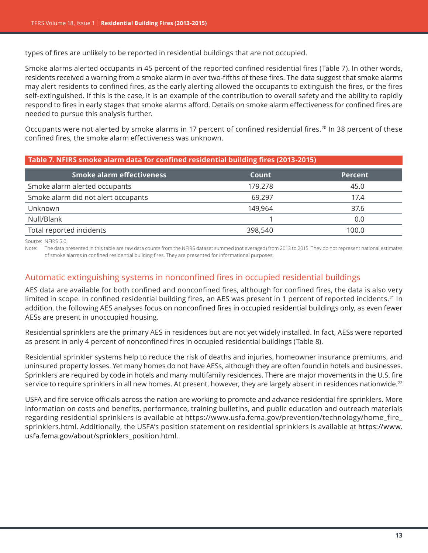types of fires are unlikely to be reported in residential buildings that are not occupied.

Smoke alarms alerted occupants in 45 percent of the reported confined residential fires (Table 7). In other words, residents received a warning from a smoke alarm in over two-fifths of these fires. The data suggest that smoke alarms may alert residents to confined fires, as the early alerting allowed the occupants to extinguish the fires, or the fires self-extinguished. If this is the case, it is an example of the contribution to overall safety and the ability to rapidly respond to fires in early stages that smoke alarms afford. Details on smoke alarm effectiveness for confined fires are needed to pursue this analysis further.

Occupants were not alerted by smoke alarms in 17 percent of confined residential fires.<sup>20</sup> In 38 percent of these confined fires, the smoke alarm effectiveness was unknown.

## **Table 7. NFIRS smoke alarm data for confined residential building fires (2013-2015)**

| <b>Smoke alarm effectiveness</b>    | Count   | <b>Percent</b> |
|-------------------------------------|---------|----------------|
| Smoke alarm alerted occupants       | 179,278 | 45.0           |
| Smoke alarm did not alert occupants | 69.297  | 17.4           |
| Unknown                             | 149,964 | 37.6           |
| Null/Blank                          |         | 0.0            |
| Total reported incidents            | 398,540 | 100.0          |

Source: NFIRS 5.0.

Note: The data presented in this table are raw data counts from the NFIRS dataset summed (not averaged) from 2013 to 2015. They do not represent national estimates of smoke alarms in confined residential building fires. They are presented for informational purposes.

## Automatic extinguishing systems in nonconfined fires in occupied residential buildings

AES data are available for both confined and nonconfined fires, although for confined fires, the data is also very limited in scope. In confined residential building fires, an AES was present in 1 percent of reported incidents.<sup>21</sup> In addition, the following AES analyses focus on nonconfined fires in occupied residential buildings only, as even fewer AESs are present in unoccupied housing.

Residential sprinklers are the primary AES in residences but are not yet widely installed. In fact, AESs were reported as present in only 4 percent of nonconfined fires in occupied residential buildings (Table 8).

Residential sprinkler systems help to reduce the risk of deaths and injuries, homeowner insurance premiums, and uninsured property losses. Yet many homes do not have AESs, although they are often found in hotels and businesses. Sprinklers are required by code in hotels and many multifamily residences. There are major movements in the U.S. fire service to require sprinklers in all new homes. At present, however, they are largely absent in residences nationwide.<sup>22</sup>

USFA and fire service officials across the nation are working to promote and advance residential fire sprinklers. More information on costs and benefits, performance, training bulletins, and public education and outreach materials regarding residential sprinklers is available at [https://www.usfa.fema.gov/prevention/technology/home\\_fire\\_](https://www.usfa.fema.gov/prevention/technology/home_fire_sprinklers.html) [sprinklers.html](https://www.usfa.fema.gov/prevention/technology/home_fire_sprinklers.html). Additionally, the USFA's position statement on residential sprinklers is available at [https://www.](https://www.usfa.fema.gov/about/sprinklers_position.html) [usfa.fema.gov/about/sprinklers\\_position.html](https://www.usfa.fema.gov/about/sprinklers_position.html).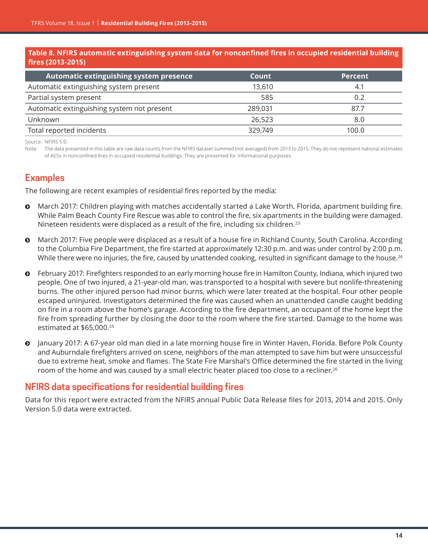#### **Table 8. NFIRS automatic extinguishing system data for nonconfined fires in occupied residential building fires (2013-2015)**

| Automatic extinguishing system presence    | Count   | <b>Percent</b> |
|--------------------------------------------|---------|----------------|
| Automatic extinguishing system present     | 13,610  | 4.1            |
| Partial system present                     | 585     | 0.2            |
| Automatic extinguishing system not present | 289,031 | 87.7           |
| Unknown                                    | 26,523  | 8.0            |
| Total reported incidents                   | 329,749 | 100.0          |

Source: NFIRS 5.0.

Note: The data presented in this table are raw data counts from the NFIRS dataset summed (not averaged) from 2013 to 2015. They do not represent national estimates of AESs in nonconfined fires in occupied residential buildings. They are presented for informational purposes.

# **Examples**

The following are recent examples of residential fires reported by the media:

- **•** March 2017: Children playing with matches accidentally started a Lake Worth, Florida, apartment building fire. While Palm Beach County Fire Rescue was able to control the fire, six apartments in the building were damaged. Nineteen residents were displaced as a result of the fire, including six children.<sup>23</sup>
- March 2017: Five people were displaced as a result of a house fire in Richland County, South Carolina. According to the Columbia Fire Department, the fire started at approximately 12:30 p.m. and was under control by 2:00 p.m. While there were no injuries, the fire, caused by unattended cooking, resulted in significant damage to the house.<sup>24</sup>
- ĵ February 2017: Firefighters responded to an early morning house fire in Hamilton County, Indiana, which injured two people. One of two injured, a 21-year-old man, was transported to a hospital with severe but nonlife-threatening burns. The other injured person had minor burns, which were later treated at the hospital. Four other people escaped uninjured. Investigators determined the fire was caused when an unattended candle caught bedding on fire in a room above the home's garage. According to the fire department, an occupant of the home kept the fire from spreading further by closing the door to the room where the fire started. Damage to the home was estimated at \$65,000.25
- ĵ January 2017: A 67-year old man died in a late morning house fire in Winter Haven, Florida. Before Polk County and Auburndale firefighters arrived on scene, neighbors of the man attempted to save him but were unsuccessful due to extreme heat, smoke and flames. The State Fire Marshal's Office determined the fire started in the living room of the home and was caused by a small electric heater placed too close to a recliner.<sup>26</sup>

# **NFIRS data specifications for residential building fires**

Data for this report were extracted from the NFIRS annual Public Data Release files for 2013, 2014 and 2015. Only Version 5.0 data were extracted.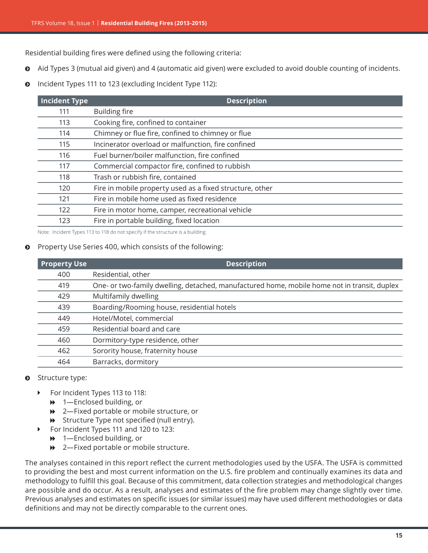Residential building fires were defined using the following criteria:

- Aid Types 3 (mutual aid given) and 4 (automatic aid given) were excluded to avoid double counting of incidents.
- **O** Incident Types 111 to 123 (excluding Incident Type 112):

| <b>Incident Type</b> | <b>Description</b>                                       |
|----------------------|----------------------------------------------------------|
| 111                  | <b>Building fire</b>                                     |
| 113                  | Cooking fire, confined to container                      |
| 114                  | Chimney or flue fire, confined to chimney or flue        |
| 115                  | Incinerator overload or malfunction, fire confined       |
| 116                  | Fuel burner/boiler malfunction, fire confined            |
| 117                  | Commercial compactor fire, confined to rubbish           |
| 118                  | Trash or rubbish fire, contained                         |
| 120                  | Fire in mobile property used as a fixed structure, other |
| 121                  | Fire in mobile home used as fixed residence              |
| 122                  | Fire in motor home, camper, recreational vehicle         |
| 123                  | Fire in portable building, fixed location                |

Note: Incident Types 113 to 118 do not specify if the structure is a building.

#### **•** Property Use Series 400, which consists of the following:

| <b>Property Use</b> | <b>Description</b>                                                                           |
|---------------------|----------------------------------------------------------------------------------------------|
| 400                 | Residential, other                                                                           |
| 419                 | One- or two-family dwelling, detached, manufactured home, mobile home not in transit, duplex |
| 429                 | Multifamily dwelling                                                                         |
| 439                 | Boarding/Rooming house, residential hotels                                                   |
| 449                 | Hotel/Motel, commercial                                                                      |
| 459                 | Residential board and care                                                                   |
| 460                 | Dormitory-type residence, other                                                              |
| 462                 | Sorority house, fraternity house                                                             |
| 464                 | Barracks, dormitory                                                                          |

#### $\odot$  Structure type:

- ▶ For Incident Types 113 to 118:
	- $\rightarrow$  1-Enclosed building, or
	- ♦ 2—Fixed portable or mobile structure, or
	- $\rightarrow$  Structure Type not specified (null entry).
- ▶ For Incident Types 111 and 120 to 123:
	- $\rightarrow$  1—Enclosed building, or
	- $\rightarrow$  2—Fixed portable or mobile structure.

The analyses contained in this report reflect the current methodologies used by the USFA. The USFA is committed to providing the best and most current information on the U.S. fire problem and continually examines its data and methodology to fulfill this goal. Because of this commitment, data collection strategies and methodological changes are possible and do occur. As a result, analyses and estimates of the fire problem may change slightly over time. Previous analyses and estimates on specific issues (or similar issues) may have used different methodologies or data definitions and may not be directly comparable to the current ones.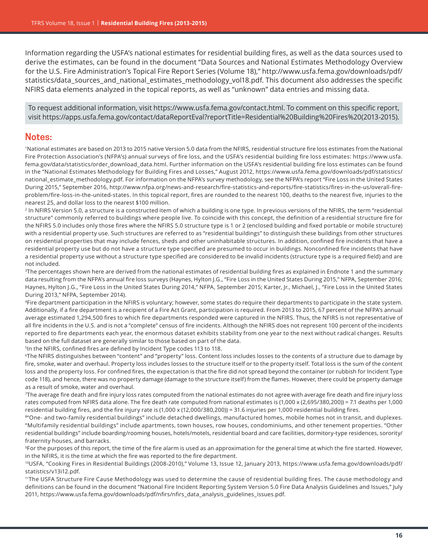Information regarding the USFA's national estimates for residential building fires, as well as the data sources used to derive the estimates, can be found in the document "Data Sources and National Estimates Methodology Overview for the U.S. Fire Administration's Topical Fire Report Series (Volume 18)," [http://www.usfa.fema.gov/downloads/pdf/](http://www.usfa.fema.gov/downloads/pdf/statistics/data_sources_and_national_estimates_methodology_vol18.pdf) [statistics/data\\_sources\\_and\\_national\\_estimates\\_methodology\\_vol18.pdf.](http://www.usfa.fema.gov/downloads/pdf/statistics/data_sources_and_national_estimates_methodology_vol18.pdf) This document also addresses the specific NFIRS data elements analyzed in the topical reports, as well as "unknown" data entries and missing data.

To request additional information, visit <https://www.usfa.fema.gov/contact.html>. To comment on this specific report, visit [https://apps.usfa.fema.gov/contact/dataReportEval?reportTitle](https://apps.usfa.fema.gov/contact/dataReportEval?reportTitle=Residential%20Building%20Fires%20(2013-2015))=Residential%20Building%20Fires%20(2013-2015).

## **Notes:**

1National estimates are based on 2013 to 2015 native Version 5.0 data from the NFIRS, residential structure fire loss estimates from the National Fire Protection Association's (NFPA's) annual surveys of fire loss, and the USFA's residential building fire loss estimates: [https://www.usfa.](https://www.usfa.fema.gov/data/statistics/order_download_data.html) [fema.gov/data/statistics/order\\_download\\_data.html](https://www.usfa.fema.gov/data/statistics/order_download_data.html). Further information on the USFA's residential building fire loss estimates can be found in the "National Estimates Methodology for Building Fires and Losses," August 2012, [https://www.usfa.fema.gov/downloads/pdf/statistics/](http://www.usfa.fema.gov/downloads/pdf/statistics/national_estimate_methodology.pdf) [national\\_estimate\\_methodology.pdf](http://www.usfa.fema.gov/downloads/pdf/statistics/national_estimate_methodology.pdf). For information on the NFPA's survey methodology, see the NFPA's report "Fire Loss in the United States During 2015," September 2016, [http://www.nfpa.org/news-and-research/fire-statistics-and-reports/fire-statistics/fires-in-the-us/overall-fire](http://www.nfpa.org/news-and-research/fire-statistics-and-reports/fire-statistics/fires-in-the-us/overall-fire-problem/fire-loss-in-the-united-states)[problem/fire-loss-in-the-united-states](http://www.nfpa.org/news-and-research/fire-statistics-and-reports/fire-statistics/fires-in-the-us/overall-fire-problem/fire-loss-in-the-united-states). In this topical report, fires are rounded to the nearest 100, deaths to the nearest five, injuries to the nearest 25, and dollar loss to the nearest \$100 million.

<sup>2</sup> In NFIRS Version 5.0, a structure is a constructed item of which a building is one type. In previous versions of the NFIRS, the term "residential structure" commonly referred to buildings where people live. To coincide with this concept, the definition of a residential structure fire for the NFIRS 5.0 includes only those fires where the NFIRS 5.0 structure type is 1 or 2 (enclosed building and fixed portable or mobile structure) with a residential property use. Such structures are referred to as "residential buildings" to distinguish these buildings from other structures on residential properties that may include fences, sheds and other uninhabitable structures. In addition, confined fire incidents that have a residential property use but do not have a structure type specified are presumed to occur in buildings. Nonconfined fire incidents that have a residential property use without a structure type specified are considered to be invalid incidents (structure type is a required field) and are not included.

<sup>3</sup>The percentages shown here are derived from the national estimates of residential building fires as explained in Endnote 1 and the summary data resulting from the NFPA's annual fire loss surveys (Haynes, Hylton J.G., "Fire Loss in the United States During 2015," NFPA, September 2016; Haynes, Hylton J.G., "Fire Loss in the United States During 2014," NFPA, September 2015; Karter, Jr., Michael, J., "Fire Loss in the United States During 2013," NFPA, September 2014).

4Fire department participation in the NFIRS is voluntary; however, some states do require their departments to participate in the state system. Additionally, if a fire department is a recipient of a Fire Act Grant, participation is required. From 2013 to 2015, 67 percent of the NFPA's annual average estimated 1,294,500 fires to which fire departments responded were captured in the NFIRS. Thus, the NFIRS is not representative of all fire incidents in the U.S. and is not a "complete" census of fire incidents. Although the NFIRS does not represent 100 percent of the incidents reported to fire departments each year, the enormous dataset exhibits stability from one year to the next without radical changes. Results based on the full dataset are generally similar to those based on part of the data.

5In the NFIRS, confined fires are defined by Incident Type codes 113 to 118.

6The NFIRS distinguishes between "content" and "property" loss. Content loss includes losses to the contents of a structure due to damage by fire, smoke, water and overhaul. Property loss includes losses to the structure itself or to the property itself. Total loss is the sum of the content loss and the property loss. For confined fires, the expectation is that the fire did not spread beyond the container (or rubbish for Incident Type code 118), and hence, there was no property damage (damage to the structure itself) from the flames. However, there could be property damage as a result of smoke, water and overhaul.

7The average fire death and fire injury loss rates computed from the national estimates do not agree with average fire death and fire injury loss rates computed from NFIRS data alone. The fire death rate computed from national estimates is (1,000 x (2,695/380,200)) = 7.1 deaths per 1,000 residential building fires, and the fire injury rate is (1,000 x (12,000/380,200)) = 31.6 injuries per 1,000 residential building fires.

8"One- and two-family residential buildings" include detached dwellings, manufactured homes, mobile homes not in transit, and duplexes. "Multifamily residential buildings" include apartments, town houses, row houses, condominiums, and other tenement properties. "Other residential buildings" include boarding/rooming houses, hotels/motels, residential board and care facilities, dormitory-type residences, sorority/ fraternity houses, and barracks.

9For the purposes of this report, the time of the fire alarm is used as an approximation for the general time at which the fire started. However, in the NFIRS, it is the time at which the fire was reported to the fire department.

10USFA, "Cooking Fires in Residential Buildings (2008-2010)," Volume 13, Issue 12, January 2013, [https://www.usfa.fema.gov/downloads/pdf/](https://www.usfa.fema.gov/downloads/pdf/statistics/v13i12.pdf) [statistics/v13i12.pdf](https://www.usfa.fema.gov/downloads/pdf/statistics/v13i12.pdf).

11The USFA Structure Fire Cause Methodology was used to determine the cause of residential building fires. The cause methodology and definitions can be found in the document "National Fire Incident Reporting System Version 5.0 Fire Data Analysis Guidelines and Issues," July 2011, [https://www.usfa.fema.gov/downloads/pdf/nfirs/nfirs\\_data\\_analysis\\_guidelines\\_issues.pdf](https://www.usfa.fema.gov/downloads/pdf/nfirs/nfirs_data_analysis_guidelines_issues.pdf).